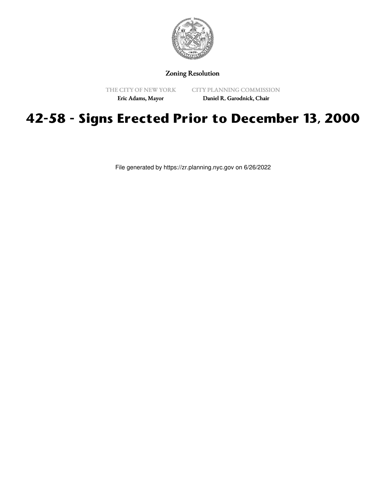

Zoning Resolution

THE CITY OF NEW YORK

CITY PLANNING COMMISSION

Eric Adams, Mayor

Daniel R. Garodnick, Chair

## **42-58 - Signs Erected Prior to December 13, 2000**

File generated by https://zr.planning.nyc.gov on 6/26/2022